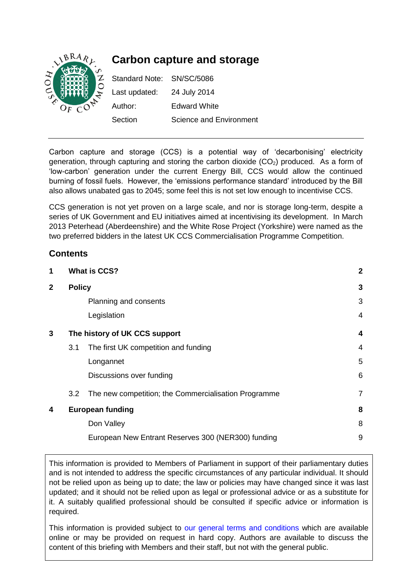

Carbon capture and storage (CCS) is a potential way of 'decarbonising' electricity generation, through capturing and storing the carbon dioxide  $(CO<sub>2</sub>)$  produced. As a form of 'low-carbon' generation under the current Energy Bill, CCS would allow the continued burning of fossil fuels. However, the 'emissions performance standard' introduced by the Bill also allows unabated gas to 2045; some feel this is not set low enough to incentivise CCS.

CCS generation is not yet proven on a large scale, and nor is storage long-term, despite a series of UK Government and EU initiatives aimed at incentivising its development. In March 2013 Peterhead (Aberdeenshire) and the White Rose Project (Yorkshire) were named as the two preferred bidders in the latest UK CCS Commercialisation Programme Competition.

# **Contents**

| 1           |                               | <b>What is CCS?</b>                                  |                |
|-------------|-------------------------------|------------------------------------------------------|----------------|
| $\mathbf 2$ | <b>Policy</b>                 |                                                      | 3              |
|             |                               | Planning and consents                                | 3              |
|             |                               | Legislation                                          | $\overline{4}$ |
| 3           | The history of UK CCS support |                                                      | 4              |
|             | 3.1                           | The first UK competition and funding                 | 4              |
|             |                               | Longannet                                            | 5              |
|             |                               | Discussions over funding                             | 6              |
|             | 3.2                           | The new competition; the Commercialisation Programme | $\overline{7}$ |
| 4           | <b>European funding</b>       |                                                      | 8              |
|             |                               | Don Valley                                           | 8              |
|             |                               | European New Entrant Reserves 300 (NER300) funding   | 9              |
|             |                               |                                                      |                |

This information is provided to Members of Parliament in support of their parliamentary duties and is not intended to address the specific circumstances of any particular individual. It should not be relied upon as being up to date; the law or policies may have changed since it was last updated; and it should not be relied upon as legal or professional advice or as a substitute for it. A suitably qualified professional should be consulted if specific advice or information is required.

This information is provided subject to [our general terms and conditions](http://www.parliament.uk/site-information/copyright/) which are available online or may be provided on request in hard copy. Authors are available to discuss the content of this briefing with Members and their staff, but not with the general public.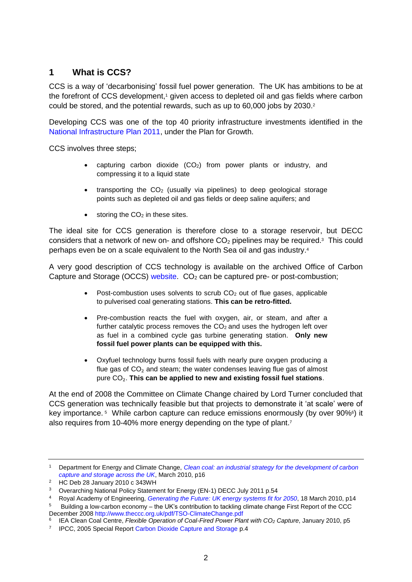# <span id="page-1-0"></span>**1 What is CCS?**

CCS is a way of 'decarbonising' fossil fuel power generation. The UK has ambitions to be at the forefront of CCS development, <sup>1</sup> given access to depleted oil and gas fields where carbon could be stored, and the potential rewards, such as up to 60,000 jobs by 2030.<sup>2</sup>

Developing CCS was one of the top 40 priority infrastructure investments identified in the [National Infrastructure Plan 2011,](http://www.hm-treasury.gov.uk/infrastructure_nip.htm) under the Plan for Growth.

CCS involves three steps;

- capturing carbon dioxide  $(CO<sub>2</sub>)$  from power plants or industry, and compressing it to a liquid state
- $\bullet$  transporting the CO<sub>2</sub> (usually via pipelines) to deep geological storage points such as depleted oil and gas fields or deep saline aquifers; and
- $\bullet$  storing the CO<sub>2</sub> in these sites.

The ideal site for CCS generation is therefore close to a storage reservoir, but DECC considers that a network of new on- and offshore  $CO<sub>2</sub>$  pipelines may be required.<sup>3</sup> This could perhaps even be on a scale equivalent to the North Sea oil and gas industry. 4

A very good description of CCS technology is available on the archived Office of Carbon Capture and Storage (OCCS) [website.](http://webarchive.nationalarchives.gov.uk/20121217150421/http:/www.decc.gov.uk/en/content/cms/emissions/ccs/what_is/what_is.aspx)  $CO<sub>2</sub>$  can be captured pre- or post-combustion;

- Post-combustion uses solvents to scrub  $CO<sub>2</sub>$  out of flue gases, applicable to pulverised coal generating stations. **This can be retro-fitted.**
- Pre-combustion reacts the fuel with oxygen, air, or steam, and after a further catalytic process removes the  $CO<sub>2</sub>$  and uses the hydrogen left over as fuel in a combined cycle gas turbine generating station. **Only new fossil fuel power plants can be equipped with this.**
- Oxyfuel technology burns fossil fuels with nearly pure oxygen producing a flue gas of  $CO<sub>2</sub>$  and steam; the water condenses leaving flue gas of almost pure CO₂. **This can be applied to new and existing fossil fuel stations**.

At the end of 2008 the Committee on Climate Change chaired by Lord Turner concluded that CCS generation was technically feasible but that projects to demonstrate it 'at scale' were of key importance.<sup>5</sup> While carbon capture can reduce emissions enormously (by over 90%<sup>6</sup>) it also requires from 10-40% more energy depending on the type of plant. 7

<sup>1</sup> Department for Energy and Climate Change, *[Clean coal: an industrial strategy for the development of carbon](http://www.decc.gov.uk/Media/viewfile.ashx?FilePath=What%20we%20do/UK%20energy%20supply/Energy%20mix/Carbon%20capture%20and%20storage/1_20100317090007_e_@@_CleanCoalIndustrialStrategy.pdf&filetype=4)  [capture and storage across the UK](http://www.decc.gov.uk/Media/viewfile.ashx?FilePath=What%20we%20do/UK%20energy%20supply/Energy%20mix/Carbon%20capture%20and%20storage/1_20100317090007_e_@@_CleanCoalIndustrialStrategy.pdf&filetype=4)*, March 2010, p16

<sup>2</sup> HC Deb 28 January 2010 c 343WH

<sup>&</sup>lt;sup>3</sup> Overarching National Policy Statement for Energy (EN-1) DECC July 2011 p.54

<sup>4</sup> Royal Academy of Engineering, *[Generating the Future: UK energy systems fit for 2050](http://www.raeng.org.uk/news/publications/list/reports/Generating_the_future_report.pdf)*, 18 March 2010, p14

<sup>5</sup> Building a low-carbon economy – the UK's contribution to tackling climate change First Report of the CCC December 200[8 http://www.theccc.org.uk/pdf/TSO-ClimateChange.pdf](http://www.theccc.org.uk/pdf/TSO-ClimateChange.pdf)

<sup>6</sup> IEA Clean Coal Centre, *Flexible Operation of Coal-Fired Power Plant with CO<sup>2</sup> Capture*, January 2010, p5

<sup>&</sup>lt;sup>7</sup> IPCC, 2005 Special Repor[t Carbon Dioxide Capture and Storage](http://www.ipcc.ch/pdf/special-reports/srccs/srccs_wholereport.pdf) p.4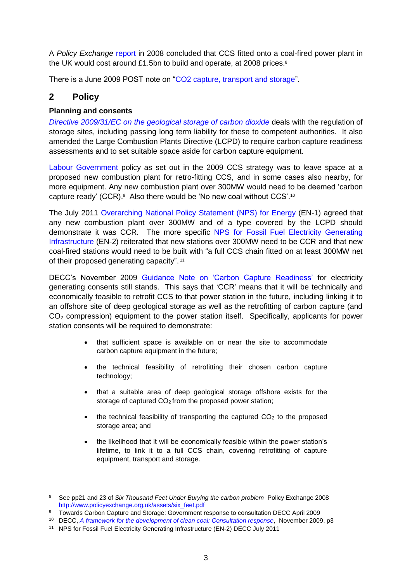A *Policy Exchange* [report](http://www.policyexchange.org.uk/assets/six_feet.pdf) in 2008 concluded that CCS fitted onto a coal-fired power plant in the UK would cost around £1.5bn to build and operate, at 2008 prices. $8$ 

There is a June 2009 POST note on ["CO2 capture, transport and storage"](http://www.parliament.uk/briefing-papers/POST-PN-335).

# <span id="page-2-0"></span>**2 Policy**

### <span id="page-2-1"></span>**Planning and consents**

*[Directive 2009/31/EC on the geological storage of carbon dioxide](http://eur-lex.europa.eu/LexUriServ/LexUriServ.do?uri=OJ:L:2009:140:0114:0135:EN:PDF)* deals with the regulation of storage sites, including passing long term liability for these to competent authorities. It also amended the Large Combustion Plants Directive (LCPD) to require carbon capture readiness assessments and to set suitable space aside for carbon capture equipment.

[Labour Government](http://webarchive.nationalarchives.gov.uk/+/http:/www.berr.gov.uk/files/file51115.pdf) policy as set out in the 2009 CCS strategy was to leave space at a proposed new combustion plant for retro-fitting CCS, and in some cases also nearby, for more equipment. Any new combustion plant over 300MW would need to be deemed 'carbon capture ready' (CCR).<sup>9</sup> Also there would be 'No new coal without CCS'.<sup>10</sup>

The July 2011 [Overarching National Policy Statement \(NPS\) for Energy](http://www.official-documents.gov.uk/document/other/9780108510779/9780108510779.pdf) (EN-1) agreed that any new combustion plant over 300MW and of a type covered by the LCPD should demonstrate it was CCR. The more specific [NPS for Fossil Fuel Electricity Generating](http://webarchive.nationalarchives.gov.uk/+/http:/www.decc.gov.uk/en/content/cms/meeting_energy/consents_planning/nps_en_infra/nps_en_infra.aspx)  [Infrastructure](http://webarchive.nationalarchives.gov.uk/+/http:/www.decc.gov.uk/en/content/cms/meeting_energy/consents_planning/nps_en_infra/nps_en_infra.aspx) (EN-2) reiterated that new stations over 300MW need to be CCR and that new coal-fired stations would need to be built with "a full CCS chain fitted on at least 300MW net of their proposed generating capacity". 11

DECC's November 2009 [Guidance Note on 'Carbon Capture Readiness'](https://whitehall-admin.production.alphagov.co.uk/government/uploads/system/uploads/attachment_data/file/43609/Carbon_capture_readiness_-_guidance.pdf) for electricity generating consents still stands. This says that 'CCR' means that it will be technically and economically feasible to retrofit CCS to that power station in the future, including linking it to an offshore site of deep geological storage as well as the retrofitting of carbon capture (and CO<sup>2</sup> compression) equipment to the power station itself. Specifically, applicants for power station consents will be required to demonstrate:

- that sufficient space is available on or near the site to accommodate carbon capture equipment in the future;
- the technical feasibility of retrofitting their chosen carbon capture technology;
- that a suitable area of deep geological storage offshore exists for the storage of captured CO<sub>2</sub> from the proposed power station;
- $\bullet$  the technical feasibility of transporting the captured CO<sub>2</sub> to the proposed storage area; and
- the likelihood that it will be economically feasible within the power station's lifetime, to link it to a full CCS chain, covering retrofitting of capture equipment, transport and storage.

<sup>8</sup> See pp21 and 23 of *Six Thousand Feet Under Burying the carbon problem* Policy Exchange 2008 [http://www.policyexchange.org.uk/assets/six\\_feet.pdf](http://www.policyexchange.org.uk/assets/six_feet.pdf)

<sup>9</sup> Towards Carbon Capture and Storage: Government response to consultation DECC April 2009

<sup>10</sup> DECC, *[A framework for the development of clean coal: Consultation response](http://www.decc.gov.uk/Media/viewfile.ashx?FilePath=Consultations/A%20framework%20for%20the%20development%20of%20clean%20coal/responsedocs/1_20091109153409_e_@@_cleancoalconsgovresponse.pdf&filetype=4)*, November 2009, p3

<sup>11</sup> NPS for Fossil Fuel Electricity Generating Infrastructure (EN-2) DECC July 2011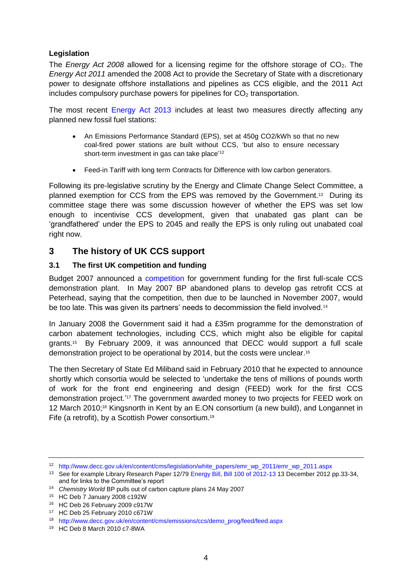### <span id="page-3-0"></span>**Legislation**

The *Energy Act 2008* allowed for a licensing regime for the offshore storage of CO2. The *Energy Act 2011* amended the 2008 Act to provide the Secretary of State with a discretionary power to designate offshore installations and pipelines as CCS eligible, and the 2011 Act includes compulsory purchase powers for pipelines for  $CO<sub>2</sub>$  transportation.

The most recent [Energy Act 2013](https://www.gov.uk/government/collections/energy-act) includes at least two measures directly affecting any planned new fossil fuel stations:

- An Emissions Performance Standard (EPS), set at 450g CO2/kWh so that no new coal-fired power stations are built without CCS, 'but also to ensure necessary short-term investment in gas can take place'<sup>12</sup>
- Feed-in Tariff with long term Contracts for Difference with low carbon generators.

Following its pre-legislative scrutiny by the Energy and Climate Change Select Committee, a planned exemption for CCS from the EPS was removed by the Government.<sup>13</sup> During its committee stage there was some discussion however of whether the EPS was set low enough to incentivise CCS development, given that unabated gas plant can be 'grandfathered' under the EPS to 2045 and really the EPS is only ruling out unabated coal right now.

# <span id="page-3-1"></span>**3 The history of UK CCS support**

### <span id="page-3-2"></span>**3.1 The first UK competition and funding**

Budget 2007 announced a [competition](http://www.hm-treasury.gov.uk/d/bud07_completereport_1757.pdf) for government funding for the first full-scale CCS demonstration plant. In May 2007 BP abandoned plans to develop gas retrofit CCS at Peterhead, saying that the competition, then due to be launched in November 2007, would be too late. This was given its partners' needs to decommission the field involved.<sup>14</sup>

In January 2008 the Government said it had a £35m programme for the demonstration of carbon abatement technologies, including CCS, which might also be eligible for capital grants. <sup>15</sup> By February 2009, it was announced that DECC would support a full scale demonstration project to be operational by 2014, but the costs were unclear. 16

The then Secretary of State Ed Miliband said in February 2010 that he expected to announce shortly which consortia would be selected to 'undertake the tens of millions of pounds worth of work for the front end engineering and design (FEED) work for the first CCS demonstration project.' <sup>17</sup> The government awarded money to two projects for FEED work on 12 March 2010; <sup>18</sup> Kingsnorth in Kent by an E.ON consortium (a new build), and Longannet in Fife (a retrofit), by a Scottish Power consortium.<sup>19</sup>

<sup>12</sup> [http://www.decc.gov.uk/en/content/cms/legislation/white\\_papers/emr\\_wp\\_2011/emr\\_wp\\_2011.aspx](http://www.decc.gov.uk/en/content/cms/legislation/white_papers/emr_wp_2011/emr_wp_2011.aspx)

<sup>&</sup>lt;sup>13</sup> See for example Library Research Paper 12/7[9 Energy Bill, Bill 100 of 2012-13](http://www.parliament.uk/briefing-papers/RP12-79) 13 December 2012 pp.33-34, and for links to the Committee's report

<sup>14</sup> *Chemistry World* BP pulls out of carbon capture plans 24 May 2007

<sup>15</sup> HC Deb 7 January 2008 c192W

<sup>16</sup> HC Deb 26 February 2009 c917W

<sup>17</sup> HC Deb 25 February 2010 c671W

<sup>18</sup> [http://www.decc.gov.uk/en/content/cms/emissions/ccs/demo\\_prog/feed/feed.aspx](http://www.decc.gov.uk/en/content/cms/emissions/ccs/demo_prog/feed/feed.aspx)

<sup>19</sup> HC Deb 8 March 2010 c7-8WA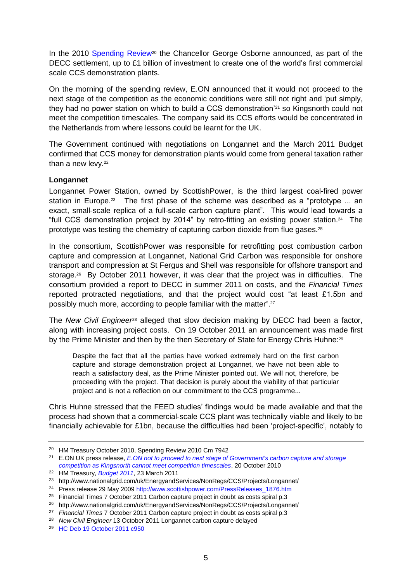In the 2010 [Spending Review](http://cdn.hm-treasury.gov.uk/sr2010_completereport.pdf)<sup>20</sup> the Chancellor George Osborne announced, as part of the DECC settlement, up to £1 billion of investment to create one of the world's first commercial scale CCS demonstration plants.

On the morning of the spending review, E.ON announced that it would not proceed to the next stage of the competition as the economic conditions were still not right and 'put simply, they had no power station on which to build a CCS demonstration'<sup>21</sup> so Kingsnorth could not meet the competition timescales. The company said its CCS efforts would be concentrated in the Netherlands from where lessons could be learnt for the UK.

The Government continued with negotiations on Longannet and the March 2011 Budget confirmed that CCS money for demonstration plants would come from general taxation rather than a new levy.<sup>22</sup>

#### <span id="page-4-0"></span>**Longannet**

Longannet Power Station, owned by ScottishPower, is the third largest coal-fired power station in Europe.<sup>23</sup> The first phase of the scheme was described as a "prototype ... an exact, small-scale replica of a full-scale carbon capture plant". This would lead towards a "full CCS demonstration project by 2014" by retro-fitting an existing power station.<sup>24</sup> The prototype was testing the chemistry of capturing carbon dioxide from flue gases.<sup>25</sup>

In the consortium, ScottishPower was responsible for retrofitting post combustion carbon capture and compression at Longannet, National Grid Carbon was responsible for onshore transport and compression at St Fergus and Shell was responsible for offshore transport and storage. 26 By October 2011 however, it was clear that the project was in difficulties. The consortium provided a report to DECC in summer 2011 on costs, and the *Financial Times*  reported protracted negotiations, and that the project would cost "at least £1.5bn and possibly much more, according to people familiar with the matter". 27

The *New Civil Engineer*<sup>28</sup> alleged that slow decision making by DECC had been a factor, along with increasing project costs. On 19 October 2011 an announcement was made first by the Prime Minister and then by the then Secretary of State for Energy Chris Huhne:<sup>29</sup>

Despite the fact that all the parties have worked extremely hard on the first carbon capture and storage demonstration project at Longannet, we have not been able to reach a satisfactory deal, as the Prime Minister pointed out. We will not, therefore, be proceeding with the project. That decision is purely about the viability of that particular project and is not a reflection on our commitment to the CCS programme...

Chris Huhne stressed that the FEED studies' findings would be made available and that the process had shown that a commercial-scale CCS plant was technically viable and likely to be financially achievable for £1bn, because the difficulties had been 'project-specific', notably to

<sup>20</sup> HM Treasury October 2010, Spending Review 2010 Cm 7942

<sup>21</sup> E.ON UK press release, *[E.ON not to proceed to next stage of Government's carbon capture and storage](http://pressreleases.eon-uk.com/blogs/eonukpressreleases/archive/2010/10/20/1628.aspx)  [competition as Kingsnorth cannot meet competition timescales](http://pressreleases.eon-uk.com/blogs/eonukpressreleases/archive/2010/10/20/1628.aspx)*, 20 October 2010

<sup>22</sup> HM Treasury, *[Budget 2011](http://cdn.hm-treasury.gov.uk/2011budget_complete.pdf)*, 23 March 2011

<sup>23</sup> http://www.nationalgrid.com/uk/EnergyandServices/NonRegs/CCS/Projects/Longannet/

<sup>24</sup> Press release 29 May 2009 [http://www.scottishpower.com/PressReleases\\_1876.htm](http://www.scottishpower.com/PressReleases_1876.htm)

<sup>&</sup>lt;sup>25</sup> Financial Times 7 October 2011 Carbon capture project in doubt as costs spiral p.3

<sup>26</sup> http://www.nationalgrid.com/uk/EnergyandServices/NonRegs/CCS/Projects/Longannet/

<sup>27</sup> *Financial Times* 7 October 2011 Carbon capture project in doubt as costs spiral p.3

<sup>28</sup> *New Civil Engineer* 13 October 2011 Longannet carbon capture delayed

<sup>29</sup> [HC Deb 19 October 2011 c950](http://www.publications.parliament.uk/pa/cm201011/cmhansrd/cm111019/debtext/111019-0002.htm#11101946001180)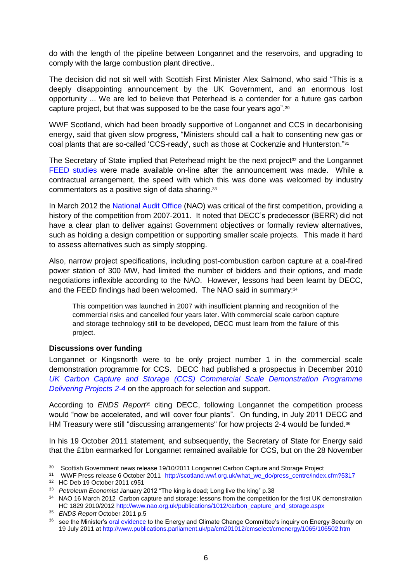do with the length of the pipeline between Longannet and the reservoirs, and upgrading to comply with the large combustion plant directive..

The decision did not sit well with Scottish First Minister Alex Salmond, who said "This is a deeply disappointing announcement by the UK Government, and an enormous lost opportunity ... We are led to believe that Peterhead is a contender for a future gas carbon capture project, but that was supposed to be the case four years ago".<sup>30</sup>

WWF Scotland, which had been broadly supportive of Longannet and CCS in decarbonising energy, said that given slow progress, "Ministers should call a halt to consenting new gas or coal plants that are so-called 'CCS-ready', such as those at Cockenzie and Hunterston."<sup>31</sup>

The Secretary of State implied that Peterhead might be the next project<sup>32</sup> and the Longannet [FEED studies](http://www.decc.gov.uk/en/content/cms/emissions/ccs/demo_prog/feed/feed.aspx) were made available on-line after the announcement was made. While a contractual arrangement, the speed with which this was done was welcomed by industry commentators as a positive sign of data sharing. 33

In March 2012 the [National Audit Office](http://www.nao.org.uk/publications/1012/carbon_capture_and_storage.aspx) (NAO) was critical of the first competition, providing a history of the competition from 2007-2011. It noted that DECC's predecessor (BERR) did not have a clear plan to deliver against Government objectives or formally review alternatives, such as holding a design competition or supporting smaller scale projects. This made it hard to assess alternatives such as simply stopping.

Also, narrow project specifications, including post-combustion carbon capture at a coal-fired power station of 300 MW, had limited the number of bidders and their options, and made negotiations inflexible according to the NAO. However, lessons had been learnt by DECC, and the FEED findings had been welcomed. The NAO said in summary:<sup>34</sup>

This competition was launched in 2007 with insufficient planning and recognition of the commercial risks and cancelled four years later. With commercial scale carbon capture and storage technology still to be developed, DECC must learn from the failure of this project.

#### <span id="page-5-0"></span>**Discussions over funding**

Longannet or Kingsnorth were to be only project number 1 in the commercial scale demonstration programme for CCS. DECC had published a prospectus in December 2010 *[UK Carbon Capture and Storage \(CCS\) Commercial Scale Demonstration Programme](http://www.decc.gov.uk/assets/decc/What%20we%20do/UK%20energy%20supply/Energy%20mix/Carbon%20capture%20and%20storage/1075-uk-ccs-commercialscale-demonstration-programme-fu.pdf)  [Delivering Projects 2-4](http://www.decc.gov.uk/assets/decc/What%20we%20do/UK%20energy%20supply/Energy%20mix/Carbon%20capture%20and%20storage/1075-uk-ccs-commercialscale-demonstration-programme-fu.pdf)* on the approach for selection and support.

According to *ENDS Report<sup>65</sup>* citing DECC, following Longannet the competition process would "now be accelerated, and will cover four plants". On funding, in July 2011 DECC and HM Treasury were still "discussing arrangements" for how projects 2-4 would be funded.<sup>36</sup>

In his 19 October 2011 statement, and subsequently, the Secretary of State for Energy said that the £1bn earmarked for Longannet remained available for CCS, but on the 28 November

<sup>&</sup>lt;sup>30</sup> Scottish Government news release 19/10/2011 Longannet Carbon Capture and Storage Project

<sup>31</sup> WWF Press release 6 October 2011 [http://scotland.wwf.org.uk/what\\_we\\_do/press\\_centre/index.cfm?5317](http://scotland.wwf.org.uk/what_we_do/press_centre/index.cfm?5317) <sup>32</sup> HC Deb 19 October 2011 c951

<sup>33</sup> *Petroleum Economist* January 2012 "The king is dead; Long live the king" p.38

<sup>34</sup> NAO 16 March 2012 Carbon capture and storage: lessons from the competition for the first UK demonstration HC 1829 2010/2012 [http://www.nao.org.uk/publications/1012/carbon\\_capture\\_and\\_storage.aspx](http://www.nao.org.uk/publications/1012/carbon_capture_and_storage.aspx)

<sup>35</sup> *ENDS Report* October 2011 p.5

<sup>36</sup> see the Minister'[s oral evidence](http://www.publications.parliament.uk/pa/cm201012/cmselect/cmenergy/1065/11071902.htm) to the Energy and Climate Change Committee's inquiry on Energy Security on 19 July 2011 a[t http://www.publications.parliament.uk/pa/cm201012/cmselect/cmenergy/1065/106502.htm](http://www.publications.parliament.uk/pa/cm201012/cmselect/cmenergy/1065/106502.htm)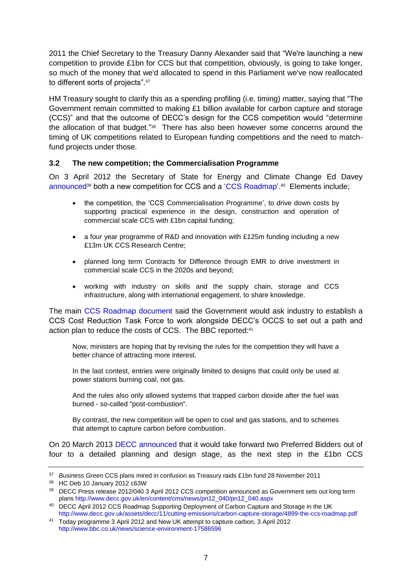2011 the Chief Secretary to the Treasury Danny Alexander said that "We're launching a new competition to provide £1bn for CCS but that competition, obviously, is going to take longer, so much of the money that we'd allocated to spend in this Parliament we've now reallocated to different sorts of projects".<sup>37</sup>

HM Treasury sought to clarify this as a spending profiling (i.e. timing) matter, saying that "The Government remain committed to making £1 billion available for carbon capture and storage (CCS)" and that the outcome of DECC's design for the CCS competition would "determine the allocation of that budget."<sup>38</sup> There has also been however some concerns around the timing of UK competitions related to European funding competitions and the need to matchfund projects under those.

#### <span id="page-6-0"></span>**3.2 The new competition; the Commercialisation Programme**

On 3 April 2012 the Secretary of State for Energy and Climate Change Ed Davey [announced](http://www.decc.gov.uk/en/content/cms/news/pn12_040/pn12_040.aspx)<sup>39</sup> both a new competition for CCS and a ['CCS Roadmap'](http://www.decc.gov.uk/assets/decc/11/cutting-emissions/carbon-capture-storage/4899-the-ccs-roadmap.pdf).<sup>40</sup> Elements include;

- the competition, the 'CCS Commercialisation Programme', to drive down costs by supporting practical experience in the design, construction and operation of commercial scale CCS with £1bn capital funding;
- a four year programme of R&D and innovation with £125m funding including a new £13m UK CCS Research Centre;
- planned long term Contracts for Difference through EMR to drive investment in commercial scale CCS in the 2020s and beyond;
- working with industry on skills and the supply chain, storage and CCS infrastructure, along with international engagement, to share knowledge.

The main [CCS Roadmap document](http://www.decc.gov.uk/assets/decc/11/cutting-emissions/carbon-capture-storage/4899-the-ccs-roadmap.pdf) said the Government would ask industry to establish a CCS Cost Reduction Task Force to work alongside DECC's OCCS to set out a path and action plan to reduce the costs of CCS. The BBC reported: 41

Now, ministers are hoping that by revising the rules for the competition they will have a better chance of attracting more interest.

In the last contest, entries were originally limited to designs that could only be used at power stations burning coal, not gas.

And the rules also only allowed systems that trapped carbon dioxide after the fuel was burned - so-called "post-combustion".

By contrast, the new competition will be open to coal and gas stations, and to schemes that attempt to capture carbon before combustion.

On 20 March 2013 [DECC announced](https://www.gov.uk/government/news/preferred-bidders-announced-in-uk-s-1bn-ccs-competition) that it would take forward two Preferred Bidders out of four to a detailed planning and design stage, as the next step in the £1bn CCS

<sup>37</sup> *Business Green* CCS plans mired in confusion as Treasury raids £1bn fund 28 November 2011

<sup>38</sup> HC Deb 10 January 2012 c63W

<sup>&</sup>lt;sup>39</sup> DECC Press release 2012/040 3 April 2012 CCS competition announced as Government sets out long term plans [http://www.decc.gov.uk/en/content/cms/news/pn12\\_040/pn12\\_040.aspx](http://www.decc.gov.uk/en/content/cms/news/pn12_040/pn12_040.aspx)

<sup>&</sup>lt;sup>40</sup> DECC April 2012 CCS Roadmap Supporting Deployment of Carbon Capture and Storage in the UK <http://www.decc.gov.uk/assets/decc/11/cutting-emissions/carbon-capture-storage/4899-the-ccs-roadmap.pdf>

<sup>41</sup> Today programme 3 April 2012 and New UK attempt to capture carbon, 3 April 2012 <http://www.bbc.co.uk/news/science-environment-17586596>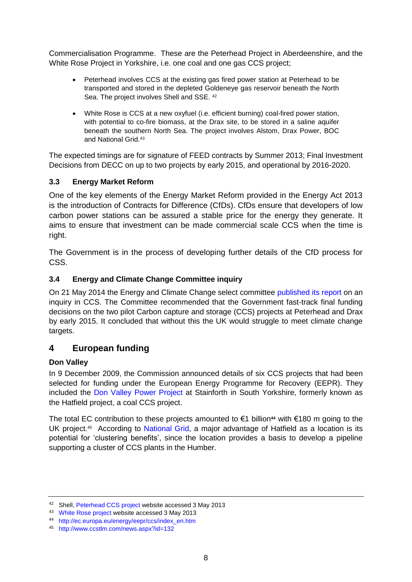Commercialisation Programme. These are the Peterhead Project in Aberdeenshire, and the White Rose Project in Yorkshire, i.e. one coal and one gas CCS project;

- Peterhead involves CCS at the existing gas fired power station at Peterhead to be transported and stored in the depleted Goldeneye gas reservoir beneath the North Sea. The project involves Shell and SSE. <sup>42</sup>
- White Rose is CCS at a new oxyfuel (i.e. efficient burning) coal-fired power station, with potential to co-fire biomass, at the Drax site, to be stored in a saline aquifer beneath the southern North Sea. The project involves Alstom, Drax Power, BOC and National Grid.<sup>43</sup>

The expected timings are for signature of FEED contracts by Summer 2013; Final Investment Decisions from DECC on up to two projects by early 2015, and operational by 2016-2020.

## **3.3 Energy Market Reform**

One of the key elements of the Energy Market Reform provided in the Energy Act 2013 is the introduction of Contracts for Difference (CfDs). CfDs ensure that developers of low carbon power stations can be assured a stable price for the energy they generate. It aims to ensure that investment can be made commercial scale CCS when the time is right.

The Government is in the process of developing further details of the CfD process for CSS.

## **3.4 Energy and Climate Change Committee inquiry**

On 21 May 2014 the Energy and Climate Change select committee [published its report](http://www.parliament.uk/business/committees/committees-a-z/commons-select/energy-and-climate-change-committee/news/carbon-capture-storage-substantive/) on an inquiry in CCS. The Committee recommended that the Government fast-track final funding decisions on the two pilot Carbon capture and storage (CCS) projects at Peterhead and Drax by early 2015. It concluded that without this the UK would struggle to meet climate change targets.

# <span id="page-7-0"></span>**4 European funding**

### <span id="page-7-1"></span>**Don Valley**

In 9 December 2009, the Commission announced details of six CCS projects that had been selected for funding under the European Energy Programme for Recovery (EEPR). They included the [Don Valley Power Project](http://www.2coenergy.com/don_valley_power_project.html) at Stainforth in South Yorkshire, formerly known as the Hatfield project, a coal CCS project.

The total EC contribution to these projects amounted to €1 billion**<sup>44</sup>** with €180 m going to the UK project.<sup>45</sup> According to [National Grid,](http://www.nationalgrid.com/uk/EnergyandServices/NonRegs/CCS/Projects/DonValleyPower/) a major advantage of Hatfield as a location is its potential for 'clustering benefits', since the location provides a basis to develop a pipeline supporting a cluster of CCS plants in the Humber.

<sup>42</sup> She[ll, Peterhead CCS project](http://www.shell.co.uk/gbr/environment-society/environment-tpkg/peterhead-ccs-project.html) website accessed 3 May 2013

<sup>43</sup> [White Rose project](http://www.whiteroseccs.co.uk/about-white-rose) website accessed 3 May 2013

<sup>44</sup> [http://ec.europa.eu/energy/eepr/ccs/index\\_en.htm](http://ec.europa.eu/energy/eepr/ccs/index_en.htm)

<sup>45</sup> <http://www.ccstlm.com/news.aspx?id=132>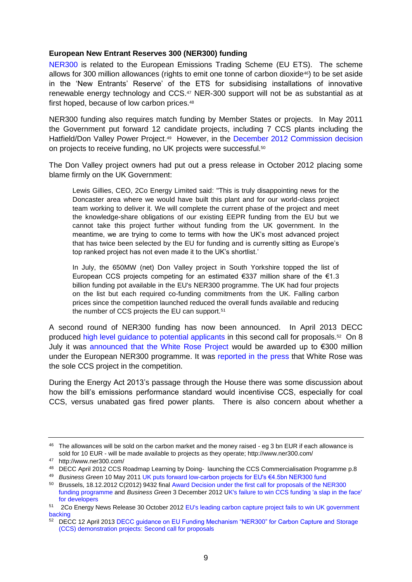#### <span id="page-8-0"></span>**European New Entrant Reserves 300 (NER300) funding**

[NER300](http://ec.europa.eu/clima/funding/ner300/index_en.htm) is related to the European Emissions Trading Scheme (EU ETS). The scheme allows for 300 million allowances (rights to emit one tonne of carbon dioxide46) to be set aside in the 'New Entrants' Reserve' of the ETS for subsidising installations of innovative renewable energy technology and CCS. <sup>47</sup> NER-300 support will not be as substantial as at first hoped, because of low carbon prices.<sup>48</sup>

NER300 funding also requires match funding by Member States or projects. In May 2011 the Government put forward 12 candidate projects, including 7 CCS plants including the Hatfield/Don Valley Power Project.<sup>49</sup> However, in the [December 2012 Commission decision](http://ec.europa.eu/clima/news/docs/c_2012_9432_en.pdf) on projects to receive funding, no UK projects were successful.<sup>50</sup>

The Don Valley project owners had put out a press release in October 2012 placing some blame firmly on the UK Government:

Lewis Gillies, CEO, 2Co Energy Limited said: "This is truly disappointing news for the Doncaster area where we would have built this plant and for our world-class project team working to deliver it. We will complete the current phase of the project and meet the knowledge-share obligations of our existing EEPR funding from the EU but we cannot take this project further without funding from the UK government. In the meantime, we are trying to come to terms with how the UK's most advanced project that has twice been selected by the EU for funding and is currently sitting as Europe's top ranked project has not even made it to the UK's shortlist.'

In July, the 650MW (net) Don Valley project in South Yorkshire topped the list of European CCS projects competing for an estimated  $\epsilon$ 337 million share of the  $\epsilon$ 1.3 billion funding pot available in the EU's NER300 programme. The UK had four projects on the list but each required co-funding commitments from the UK. Falling carbon prices since the competition launched reduced the overall funds available and reducing the number of CCS projects the EU can support.<sup>51</sup>

A second round of NER300 funding has now been announced. In April 2013 DECC produced [high level guidance to potential applicants](https://www.gov.uk/government/publications/decc-guidance-on-eu-funding-mechanism-ner300-for-carbon-capture-and-storage-ccs-demonstration-projects-second-call-for-proposals) in this second call for proposals.<sup>52</sup> On 8 July it was [announced that the White Rose Project](http://www.whiteroseccs.co.uk/white-rose-ccs-project-secures-award-decision-on-european-ner300-funding) would be awarded up to €300 million under the European NER300 programme. It was [reported in the press](http://www.utilityweek.co.uk/news/white-rose-the-sole-ccs-project-in-europes-ner300-competition/894062) that White Rose was the sole CCS project in the competition.

During the Energy Act 2013's passage through the House there was some discussion about how the bill's emissions performance standard would incentivise CCS, especially for coal CCS, versus unabated gas fired power plants. There is also concern about whether a

<sup>&</sup>lt;sup>46</sup> The allowances will be sold on the carbon market and the money raised - eg 3 bn EUR if each allowance is sold for 10 EUR - will be made available to projects as they operate; http://www.ner300.com/

<sup>47</sup> http://www.ner300.com/

<sup>48</sup> DECC April 2012 CCS Roadmap Learning by Doing- launching the CCS Commercialisation Programme p.8

<sup>49</sup> *Business Green* 10 May 2011 [UK puts forward low-carbon projects for EU's €4.5bn NER300 fund](http://www.businessgreen.com/bg/news/2069473/uk-forward-low-carbon-projects-eus-eur45bn-ner300-fun)

<sup>50</sup> Brussels, 18.12.2012 C(2012) 9432 fina[l Award Decision under the first call for proposals of the NER300](http://ec.europa.eu/clima/news/docs/c_2012_9432_en.pdf)  [funding programme](http://ec.europa.eu/clima/news/docs/c_2012_9432_en.pdf) and *Business Green* 3 December 2012 [UK's failure to win CCS funding 'a slap in the face'](http://www.businessgreen.com/bg/news/2229058/uks-failure-to-win-ccs-funding-a-slap-in-the-face-for-developers)  [for developers](http://www.businessgreen.com/bg/news/2229058/uks-failure-to-win-ccs-funding-a-slap-in-the-face-for-developers)

<sup>51</sup> 2Co Energy News Release 30 October 2012 [EU's leading carbon capture project fails to win UK government](http://www.2coenergy.com/latest_news.html)  [backing](http://www.2coenergy.com/latest_news.html)

<sup>&</sup>lt;sup>52</sup> DECC 12 April 2013 DECC guidance on EU Funding Mechanism "NER300" for Carbon Capture and Storage [\(CCS\) demonstration projects: Second call for proposals](https://www.gov.uk/government/publications/decc-guidance-on-eu-funding-mechanism-ner300-for-carbon-capture-and-storage-ccs-demonstration-projects-second-call-for-proposals)